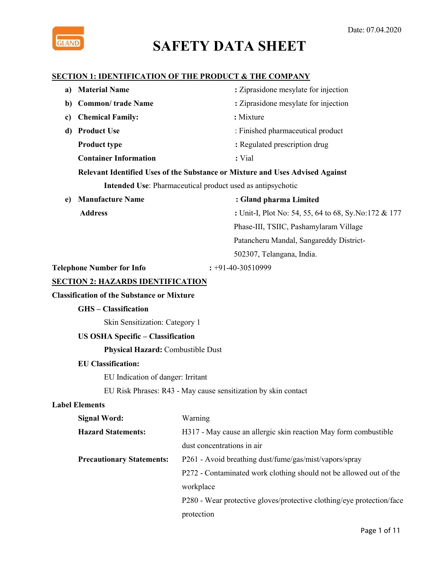

#### **SECTION 1: IDENTIFICATION OF THE PRODUCT & THE COMPANY**

| a) | <b>Material Name</b>                              | : Ziprasidone mesylate for injection                                          |  |  |
|----|---------------------------------------------------|-------------------------------------------------------------------------------|--|--|
| b) | <b>Common/ trade Name</b>                         | : Ziprasidone mesylate for injection                                          |  |  |
| c) | <b>Chemical Family:</b>                           | : Mixture                                                                     |  |  |
| d) | <b>Product Use</b>                                | : Finished pharmaceutical product                                             |  |  |
|    | <b>Product type</b>                               | : Regulated prescription drug                                                 |  |  |
|    | <b>Container Information</b>                      | : Vial                                                                        |  |  |
|    |                                                   | Relevant Identified Uses of the Substance or Mixture and Uses Advised Against |  |  |
|    |                                                   | Intended Use: Pharmaceutical product used as antipsychotic                    |  |  |
| e) | <b>Manufacture Name</b>                           | : Gland pharma Limited                                                        |  |  |
|    | <b>Address</b>                                    | : Unit-I, Plot No: 54, 55, 64 to 68, Sy.No:172 & 177                          |  |  |
|    |                                                   | Phase-III, TSIIC, Pashamylaram Village                                        |  |  |
|    |                                                   | Patancheru Mandal, Sangareddy District-                                       |  |  |
|    |                                                   | 502307, Telangana, India.                                                     |  |  |
|    | <b>Telephone Number for Info</b>                  | $: +91-40-30510999$                                                           |  |  |
|    | <b>SECTION 2: HAZARDS IDENTIFICATION</b>          |                                                                               |  |  |
|    | <b>Classification of the Substance or Mixture</b> |                                                                               |  |  |
|    | <b>GHS-Classification</b>                         |                                                                               |  |  |
|    | Skin Sensitization: Category 1                    |                                                                               |  |  |
|    | <b>US OSHA Specific - Classification</b>          |                                                                               |  |  |
|    | <b>Physical Hazard: Combustible Dust</b>          |                                                                               |  |  |
|    | <b>EU Classification:</b>                         |                                                                               |  |  |
|    | EU Indication of danger: Irritant                 |                                                                               |  |  |
|    |                                                   | EU Risk Phrases: R43 - May cause sensitization by skin contact                |  |  |
|    | <b>Label Elements</b>                             |                                                                               |  |  |
|    | <b>Signal Word:</b>                               | Warning                                                                       |  |  |
|    | <b>Hazard Statements:</b>                         | H317 - May cause an allergic skin reaction May form combustible               |  |  |
|    |                                                   | dust concentrations in air                                                    |  |  |
|    | <b>Precautionary Statements:</b>                  | P261 - Avoid breathing dust/fume/gas/mist/vapors/spray                        |  |  |
|    |                                                   | P272 - Contaminated work clothing should not be allowed out of the            |  |  |
|    |                                                   | workplace                                                                     |  |  |
|    |                                                   | P280 - Wear protective gloves/protective clothing/eye protection/face         |  |  |
|    |                                                   | protection                                                                    |  |  |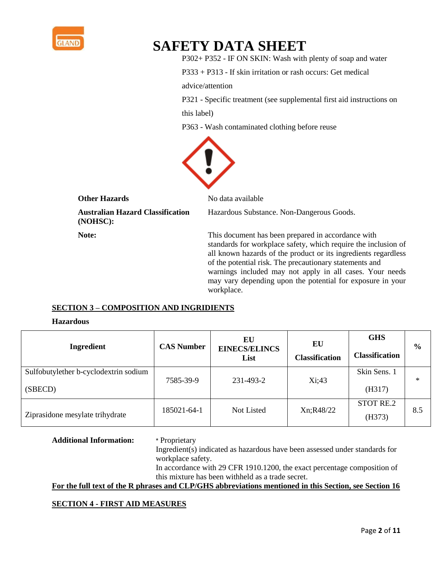

P302+ P352 - IF ON SKIN: Wash with plenty of soap and water

P333 + P313 - If skin irritation or rash occurs: Get medical

advice/attention

P321 - Specific treatment (see supplemental first aid instructions on

this label)

P363 - Wash contaminated clothing before reuse



#### **Other Hazards** No data available

**Australian Hazard Classification** Hazardous Substance. Non-Dangerous Goods. **(NOHSC):**

**Note:** This document has been prepared in accordance with standards for workplace safety, which require the inclusion of all known hazards of the product or its ingredients regardless of the potential risk. The precautionary statements and warnings included may not apply in all cases. Your needs may vary depending upon the potential for exposure in your workplace.

#### **SECTION 3 – COMPOSITION AND INGRIDIENTS**

#### **Hazardous**

| Ingredient                                       | <b>CAS Number</b> | EU<br><b>EINECS/ELINCS</b><br>List | EU<br><b>Classification</b> | <b>GHS</b><br><b>Classification</b> | $\frac{6}{6}$ |
|--------------------------------------------------|-------------------|------------------------------------|-----------------------------|-------------------------------------|---------------|
| Sulfobutylether b-cyclodextrin sodium<br>(SBECD) | 7585-39-9         | 231-493-2                          | Xi;43                       | Skin Sens. 1<br>(H317)              | $\ast$        |
| Ziprasidone mesylate trihydrate                  | 185021-64-1       | Not Listed                         | Xn;R48/22                   | <b>STOT RE.2</b><br>(H373)          | 8.5           |

**Additional Information:** \* Proprietary

Ingredient(s) indicated as hazardous have been assessed under standards for workplace safety.

In accordance with 29 CFR 1910.1200, the exact percentage composition of this mixture has been withheld as a trade secret.

**For the full text of the R phrases and CLP/GHS abbreviations mentioned in this Section, see Section 16**

#### **SECTION 4 - FIRST AID MEASURES**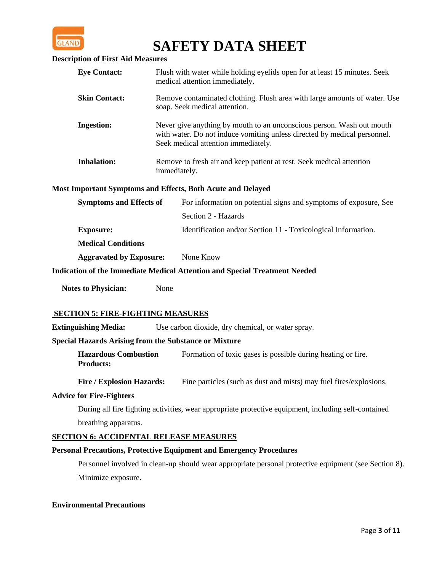

#### **Description of First Aid Measures**

| <b>Eye Contact:</b>  | Flush with water while holding eyelids open for at least 15 minutes. Seek<br>medical attention immediately.                                                                              |
|----------------------|------------------------------------------------------------------------------------------------------------------------------------------------------------------------------------------|
| <b>Skin Contact:</b> | Remove contaminated clothing. Flush area with large amounts of water. Use<br>soap. Seek medical attention.                                                                               |
| <b>Ingestion:</b>    | Never give anything by mouth to an unconscious person. Wash out mouth<br>with water. Do not induce vomiting unless directed by medical personnel.<br>Seek medical attention immediately. |
| <b>Inhalation:</b>   | Remove to fresh air and keep patient at rest. Seek medical attention<br>immediately.                                                                                                     |

#### **Most Important Symptoms and Effects, Both Acute and Delayed**

| <b>Symptoms and Effects of</b> | For information on potential signs and symptoms of exposure, See |  |  |
|--------------------------------|------------------------------------------------------------------|--|--|
|                                | Section 2 - Hazards                                              |  |  |
| <b>Exposure:</b>               | Identification and/or Section 11 - Toxicological Information.    |  |  |
| <b>Medical Conditions</b>      |                                                                  |  |  |
| <b>Aggravated by Exposure:</b> | None Know                                                        |  |  |

#### **Indication of the Immediate Medical Attention and Special Treatment Needed**

**Notes to Physician:** None

#### **SECTION 5: FIRE-FIGHTING MEASURES**

**Extinguishing Media:** Use carbon dioxide, dry chemical, or water spray.

#### **Special Hazards Arising from the Substance or Mixture**

**Hazardous Combustion** Formation of toxic gases is possible during heating or fire. **Products:**

Fire / Explosion Hazards: Fine particles (such as dust and mists) may fuel fires/explosions.

#### **Advice for Fire-Fighters**

During all fire fighting activities, wear appropriate protective equipment, including self-contained breathing apparatus.

#### **SECTION 6: ACCIDENTAL RELEASE MEASURES**

#### **Personal Precautions, Protective Equipment and Emergency Procedures**

Personnel involved in clean-up should wear appropriate personal protective equipment (see Section 8). Minimize exposure.

#### **Environmental Precautions**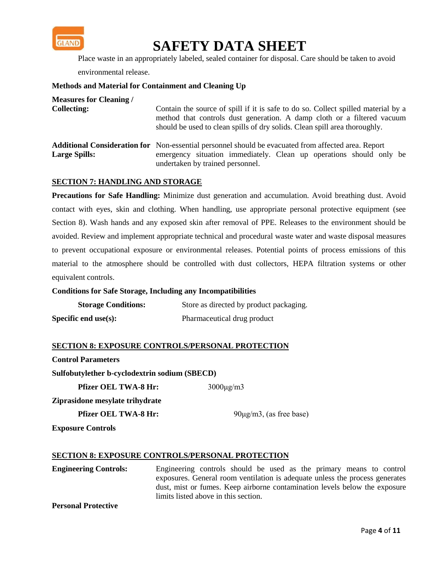

Place waste in an appropriately labeled, sealed container for disposal. Care should be taken to avoid

environmental release.

#### **Methods and Material for Containment and Cleaning Up**

| <b>Measures for Cleaning /</b><br><b>Collecting:</b> | Contain the source of spill if it is safe to do so. Collect spilled material by a<br>method that controls dust generation. A damp cloth or a filtered vacuum<br>should be used to clean spills of dry solids. Clean spill area thoroughly. |
|------------------------------------------------------|--------------------------------------------------------------------------------------------------------------------------------------------------------------------------------------------------------------------------------------------|
| <b>Large Spills:</b>                                 | <b>Additional Consideration for</b> Non-essential personnel should be evacuated from affected area. Report<br>emergency situation immediately. Clean up operations should only be<br>undertaken by trained personnel.                      |

#### **SECTION 7: HANDLING AND STORAGE**

**Precautions for Safe Handling:** Minimize dust generation and accumulation. Avoid breathing dust. Avoid contact with eyes, skin and clothing. When handling, use appropriate personal protective equipment (see Section 8). Wash hands and any exposed skin after removal of PPE. Releases to the environment should be avoided. Review and implement appropriate technical and procedural waste water and waste disposal measures to prevent occupational exposure or environmental releases. Potential points of process emissions of this material to the atmosphere should be controlled with dust collectors, HEPA filtration systems or other equivalent controls.

#### **Conditions for Safe Storage, Including any Incompatibilities**

| <b>Storage Conditions:</b> | Store as directed by product packaging. |
|----------------------------|-----------------------------------------|
| Specific end use $(s)$ :   | Pharmaceutical drug product             |

#### **SECTION 8: EXPOSURE CONTROLS/PERSONAL PROTECTION**

**Control Parameters**

**Sulfobutylether b-cyclodextrin sodium (SBECD)**

**Pfizer OEL TWA-8 Hr:** 3000μg/m3

**Ziprasidone mesylate trihydrate**

**Pfizer OEL TWA-8 Hr:** 90μg/m3, (as free base)

**Exposure Controls**

#### **SECTION 8: EXPOSURE CONTROLS/PERSONAL PROTECTION**

**Engineering Controls:** Engineering controls should be used as the primary means to control exposures. General room ventilation is adequate unless the process generates dust, mist or fumes. Keep airborne contamination levels below the exposure limits listed above in this section.

**Personal Protective**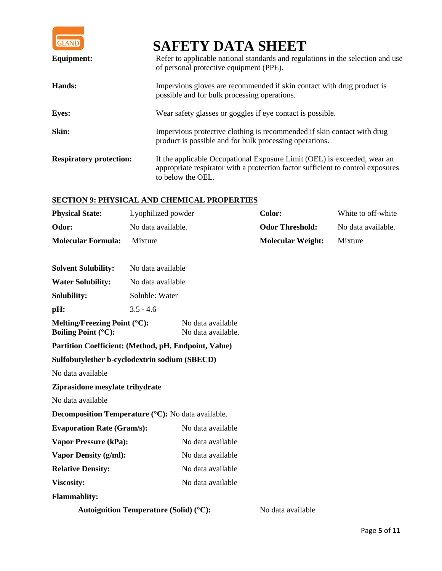

| <b>Equipment:</b>              | Refer to applicable national standards and regulations in the selection and use<br>of personal protective equipment (PPE).                                                       |
|--------------------------------|----------------------------------------------------------------------------------------------------------------------------------------------------------------------------------|
| Hands:                         | Impervious gloves are recommended if skin contact with drug product is<br>possible and for bulk processing operations.                                                           |
| <b>Eyes:</b>                   | Wear safety glasses or goggles if eye contact is possible.                                                                                                                       |
| Skin:                          | Impervious protective clothing is recommended if skin contact with drug<br>product is possible and for bulk processing operations.                                               |
| <b>Respiratory protection:</b> | If the applicable Occupational Exposure Limit (OEL) is exceeded, wear an<br>appropriate respirator with a protection factor sufficient to control exposures<br>to below the OEL. |

### **SECTION 9: PHYSICAL AND CHEMICAL PROPERTIES**

| <b>Physical State:</b>                                        | Lyophilized powder |                                         | Color:                   | White to off-white |
|---------------------------------------------------------------|--------------------|-----------------------------------------|--------------------------|--------------------|
| Odor:                                                         | No data available. |                                         | <b>Odor Threshold:</b>   | No data available. |
| <b>Molecular Formula:</b>                                     | Mixture            |                                         | <b>Molecular Weight:</b> | Mixture            |
| <b>Solvent Solubility:</b>                                    | No data available  |                                         |                          |                    |
| <b>Water Solubility:</b>                                      | No data available  |                                         |                          |                    |
| Solubility:                                                   | Soluble: Water     |                                         |                          |                    |
| pH:                                                           | $3.5 - 4.6$        |                                         |                          |                    |
| Melting/Freezing Point $(°C)$ :<br><b>Boiling Point (°C):</b> |                    | No data available<br>No data available. |                          |                    |
| Partition Coefficient: (Method, pH, Endpoint, Value)          |                    |                                         |                          |                    |
| Sulfobutylether b-cyclodextrin sodium (SBECD)                 |                    |                                         |                          |                    |
| No data available                                             |                    |                                         |                          |                    |
| Ziprasidone mesylate trihydrate                               |                    |                                         |                          |                    |
| No data available                                             |                    |                                         |                          |                    |
| <b>Decomposition Temperature (°C):</b> No data available.     |                    |                                         |                          |                    |
| <b>Evaporation Rate (Gram/s):</b>                             |                    | No data available                       |                          |                    |
| <b>Vapor Pressure (kPa):</b>                                  |                    | No data available                       |                          |                    |
| <b>Vapor Density (g/ml):</b>                                  |                    | No data available                       |                          |                    |
| <b>Relative Density:</b>                                      |                    | No data available                       |                          |                    |
| Viscosity:                                                    |                    | No data available                       |                          |                    |
| <b>Flammablity:</b>                                           |                    |                                         |                          |                    |
| <b>Autoignition Temperature (Solid) (°C):</b>                 |                    |                                         | No data available        |                    |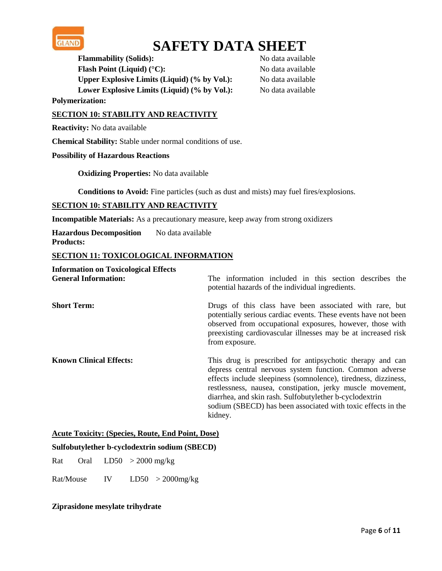

**Flammability (Solids):** No data available **Flash Point (Liquid) (°C):** No data available **Upper Explosive Limits (Liquid) (% by Vol.):** No data available Lower Explosive Limits (Liquid) (% by Vol.): No data available

**Polymerization:**

#### **SECTION 10: STABILITY AND REACTIVITY**

**Reactivity:** No data available

**Chemical Stability:** Stable under normal conditions of use.

#### **Possibility of Hazardous Reactions**

**Oxidizing Properties:** No data available

**Conditions to Avoid:** Fine particles (such as dust and mists) may fuel fires/explosions.

#### **SECTION 10: STABILITY AND REACTIVITY**

**Incompatible Materials:** As a precautionary measure, keep away from strong oxidizers

**Hazardous Decomposition** No data available **Products:**

### **SECTION 11: TOXICOLOGICAL INFORMATION**

| <b>Information on Toxicological Effects</b><br><b>General Information:</b> | The information included in this section describes the<br>potential hazards of the individual ingredients.                                                                                                                                                                                                                                                                                 |
|----------------------------------------------------------------------------|--------------------------------------------------------------------------------------------------------------------------------------------------------------------------------------------------------------------------------------------------------------------------------------------------------------------------------------------------------------------------------------------|
| <b>Short Term:</b>                                                         | Drugs of this class have been associated with rare, but<br>potentially serious cardiac events. These events have not been<br>observed from occupational exposures, however, those with<br>preexisting cardiovascular illnesses may be at increased risk<br>from exposure.                                                                                                                  |
| <b>Known Clinical Effects:</b>                                             | This drug is prescribed for antipsychotic therapy and can<br>depress central nervous system function. Common adverse<br>effects include sleepiness (somnolence), tiredness, dizziness,<br>restlessness, nausea, constipation, jerky muscle movement,<br>diarrhea, and skin rash. Sulfobutylether b-cyclodextrin<br>sodium (SBECD) has been associated with toxic effects in the<br>kidney. |

#### **Acute Toxicity: (Species, Route, End Point, Dose)**

#### **Sulfobutylether b-cyclodextrin sodium (SBECD)**

Rat Oral  $LD50 > 2000$  mg/kg

Rat/Mouse IV LD50 > 2000mg/kg

#### **Ziprasidone mesylate trihydrate**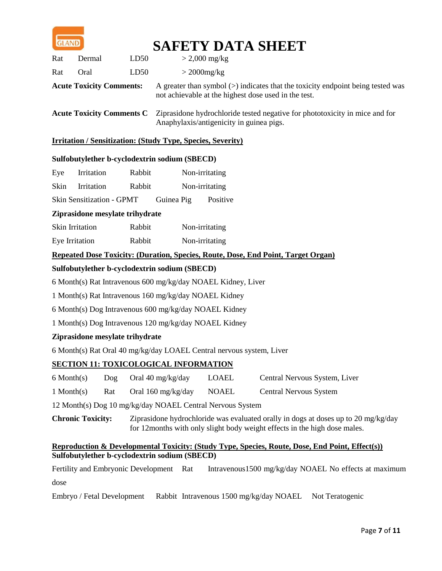

| Rat                             | Dermal | LD50 | $> 2,000 \text{ mg/kg}$                                                                                                                                  |
|---------------------------------|--------|------|----------------------------------------------------------------------------------------------------------------------------------------------------------|
| Rat                             | Oral   | LD50 | $>$ 2000 $mg/kg$                                                                                                                                         |
| <b>Acute Toxicity Comments:</b> |        |      | A greater than symbol $(>)$ indicates that the toxicity endpoint being tested was<br>not achievable at the highest dose used in the test.                |
|                                 |        |      | <b>Acute Toxicity Comments C</b> Ziprasidone hydrochloride tested negative for phototoxicity in mice and for<br>Anaphylaxis/antigenicity in guinea pigs. |

#### **Irritation / Sensitization: (Study Type, Species, Severity)**

#### **Sulfobutylether b-cyclodextrin sodium (SBECD)**

| Eye  | Irritation                                                                        | Rabbit     | Non-irritating |  |  |  |
|------|-----------------------------------------------------------------------------------|------------|----------------|--|--|--|
| Skin | <b>Irritation</b>                                                                 | Rabbit     | Non-irritating |  |  |  |
|      | Skin Sensitization - GPMT                                                         | Guinea Pig | Positive       |  |  |  |
|      | Ziprasidone mesylate trihydrate                                                   |            |                |  |  |  |
|      | <b>Skin Irritation</b>                                                            | Rabbit     | Non-irritating |  |  |  |
|      | Eye Irritation                                                                    | Rabbit     | Non-irritating |  |  |  |
|      | Repeated Dose Toxicity: (Duration, Species, Route, Dose, End Point, Target Organ) |            |                |  |  |  |
|      | Sulfobutylether b-cyclodextrin sodium (SBECD)                                     |            |                |  |  |  |

6 Month(s) Rat Intravenous 600 mg/kg/day NOAEL Kidney, Liver

1 Month(s) Rat Intravenous 160 mg/kg/day NOAEL Kidney

6 Month(s) Dog Intravenous 600 mg/kg/day NOAEL Kidney

1 Month(s) Dog Intravenous 120 mg/kg/day NOAEL Kidney

#### **Ziprasidone mesylate trihydrate**

6 Month(s) Rat Oral 40 mg/kg/day LOAEL Central nervous system, Liver

#### **SECTION 11: TOXICOLOGICAL INFORMATION**

| $6$ Month $(s)$ | $\log$ Oral 40 mg/kg/day | LOAEL | Central Nervous System, Liver |
|-----------------|--------------------------|-------|-------------------------------|
|                 |                          |       |                               |

1 Month(s) Rat Oral 160 mg/kg/day NOAEL Central Nervous System

12 Month(s) Dog 10 mg/kg/day NOAEL Central Nervous System

**Chronic Toxicity:** Ziprasidone hydrochloride was evaluated orally in dogs at doses up to 20 mg/kg/day for 12months with only slight body weight effects in the high dose males.

#### **Reproduction & Developmental Toxicity: (Study Type, Species, Route, Dose, End Point, Effect(s)) Sulfobutylether b-cyclodextrin sodium (SBECD)**

Fertility and Embryonic Development Rat Intravenous1500 mg/kg/day NOAEL No effects at maximum dose

Embryo / Fetal Development Rabbit Intravenous 1500 mg/kg/day NOAEL Not Teratogenic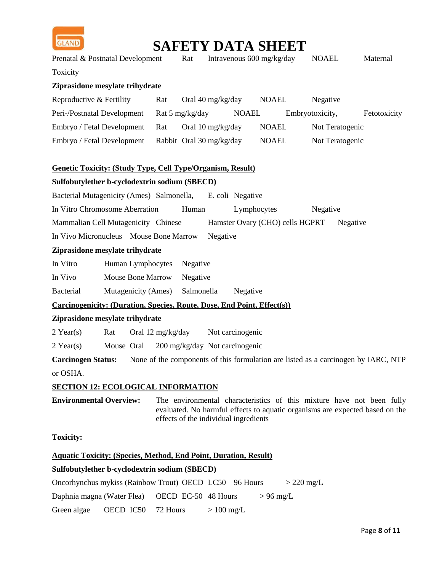

| <b>GLAND</b>                                    |                                                                                |                   |            |                                |              | <b>SAFETY DATA SHEET</b>        |                 |                 |                                                                                    |
|-------------------------------------------------|--------------------------------------------------------------------------------|-------------------|------------|--------------------------------|--------------|---------------------------------|-----------------|-----------------|------------------------------------------------------------------------------------|
|                                                 | Prenatal & Postnatal Development                                               |                   | Rat        |                                |              | Intravenous 600 mg/kg/day       | <b>NOAEL</b>    |                 | Maternal                                                                           |
| Toxicity                                        |                                                                                |                   |            |                                |              |                                 |                 |                 |                                                                                    |
|                                                 | Ziprasidone mesylate trihydrate                                                |                   |            |                                |              |                                 |                 |                 |                                                                                    |
| Reproductive & Fertility                        |                                                                                | Rat               |            | Oral 40 mg/kg/day              |              | <b>NOAEL</b>                    | Negative        |                 |                                                                                    |
|                                                 | Peri-/Postnatal Development                                                    | Rat 5 mg/kg/day   |            |                                | <b>NOAEL</b> |                                 | Embryotoxicity, |                 | Fetotoxicity                                                                       |
|                                                 | Embryo / Fetal Development                                                     | Rat               |            | Oral 10 mg/kg/day              |              | <b>NOAEL</b>                    |                 | Not Teratogenic |                                                                                    |
|                                                 | Embryo / Fetal Development                                                     |                   |            | Rabbit Oral 30 mg/kg/day       |              | <b>NOAEL</b>                    |                 | Not Teratogenic |                                                                                    |
|                                                 | Genetic Toxicity: (Study Type, Cell Type/Organism, Result)                     |                   |            |                                |              |                                 |                 |                 |                                                                                    |
|                                                 | Sulfobutylether b-cyclodextrin sodium (SBECD)                                  |                   |            |                                |              |                                 |                 |                 |                                                                                    |
|                                                 | Bacterial Mutagenicity (Ames) Salmonella,                                      |                   |            | E. coli Negative               |              |                                 |                 |                 |                                                                                    |
|                                                 | In Vitro Chromosome Aberration                                                 |                   | Human      |                                | Lymphocytes  |                                 | Negative        |                 |                                                                                    |
|                                                 | Mammalian Cell Mutagenicity Chinese                                            |                   |            |                                |              | Hamster Ovary (CHO) cells HGPRT |                 | Negative        |                                                                                    |
|                                                 | In Vivo Micronucleus Mouse Bone Marrow                                         |                   |            | Negative                       |              |                                 |                 |                 |                                                                                    |
|                                                 | Ziprasidone mesylate trihydrate                                                |                   |            |                                |              |                                 |                 |                 |                                                                                    |
| In Vitro                                        | Human Lymphocytes                                                              |                   | Negative   |                                |              |                                 |                 |                 |                                                                                    |
| <b>Mouse Bone Marrow</b><br>In Vivo<br>Negative |                                                                                |                   |            |                                |              |                                 |                 |                 |                                                                                    |
| <b>Bacterial</b>                                | Mutagenicity (Ames)                                                            |                   | Salmonella |                                | Negative     |                                 |                 |                 |                                                                                    |
|                                                 | <b>Carcinogenicity: (Duration, Species, Route, Dose, End Point, Effect(s))</b> |                   |            |                                |              |                                 |                 |                 |                                                                                    |
|                                                 | Ziprasidone mesylate trihydrate                                                |                   |            |                                |              |                                 |                 |                 |                                                                                    |
| $2$ Year(s)                                     | Rat                                                                            | Oral 12 mg/kg/day |            | Not carcinogenic               |              |                                 |                 |                 |                                                                                    |
| $2$ Year(s)                                     | Mouse Oral                                                                     |                   |            | 200 mg/kg/day Not carcinogenic |              |                                 |                 |                 |                                                                                    |
| <b>Carcinogen Status:</b>                       |                                                                                |                   |            |                                |              |                                 |                 |                 | None of the components of this formulation are listed as a carcinogen by IARC, NTP |
| or OSHA.                                        |                                                                                |                   |            |                                |              |                                 |                 |                 |                                                                                    |

#### **SECTION 12: ECOLOGICAL INFORMATION**

**Environmental Overview:** The environmental characteristics of this mixture have not been fully evaluated. No harmful effects to aquatic organisms are expected based on the effects of the individual ingredients

**Toxicity:**

#### **Aquatic Toxicity: (Species, Method, End Point, Duration, Result)**

#### **Sulfobutylether b-cyclodextrin sodium (SBECD)**

Oncorhynchus mykiss (Rainbow Trout) OECD LC50 96 Hours > 220 mg/L

Daphnia magna (Water Flea) OECD EC-50 48 Hours > 96 mg/L

Green algae  $\angle$  OECD IC50 72 Hours  $> 100 \text{ mg/L}$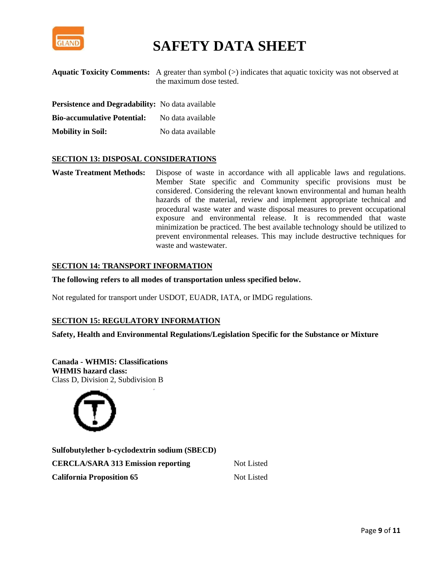

|                                                         | <b>Aquatic Toxicity Comments:</b> A greater than symbol $(>)$ indicates that aquatic toxicity was not observed at<br>the maximum dose tested. |
|---------------------------------------------------------|-----------------------------------------------------------------------------------------------------------------------------------------------|
| <b>Persistence and Degradability:</b> No data available |                                                                                                                                               |
| <b>Bio-accumulative Potential:</b>                      | No data available                                                                                                                             |

**Mobility in Soil:** No data available

#### **SECTION 13: DISPOSAL CONSIDERATIONS**

**Waste Treatment Methods:** Dispose of waste in accordance with all applicable laws and regulations. Member State specific and Community specific provisions must be considered. Considering the relevant known environmental and human health hazards of the material, review and implement appropriate technical and procedural waste water and waste disposal measures to prevent occupational exposure and environmental release. It is recommended that waste minimization be practiced. The best available technology should be utilized to prevent environmental releases. This may include destructive techniques for waste and wastewater.

#### **SECTION 14: TRANSPORT INFORMATION**

**The following refers to all modes of transportation unless specified below.**

Not regulated for transport under USDOT, EUADR, IATA, or IMDG regulations.

#### **SECTION 15: REGULATORY INFORMATION**

**Safety, Health and Environmental Regulations/Legislation Specific for the Substance or Mixture**

**Canada - WHMIS: Classifications WHMIS hazard class:** Class D, Division 2, Subdivision B



**Sulfobutylether b-cyclodextrin sodium (SBECD) CERCLA/SARA 313 Emission reporting Not Listed California Proposition 65** Not Listed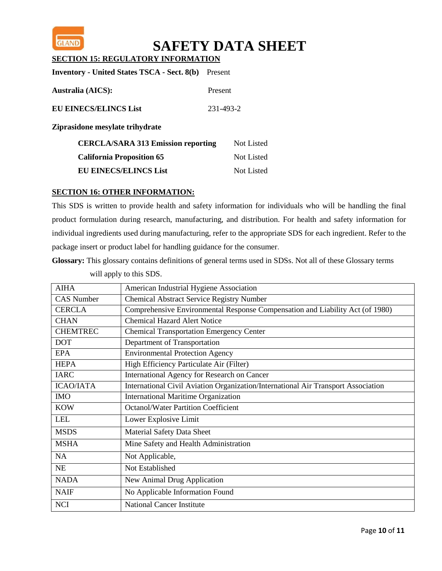

**SECTION 15: REGULATORY INFORMATION**

| <b>Inventory - United States TSCA - Sect. 8(b)</b> | Present        |                   |
|----------------------------------------------------|----------------|-------------------|
| <b>Australia (AICS):</b>                           | <b>Present</b> |                   |
| <b>EU EINECS/ELINCS List</b>                       | 231-493-2      |                   |
| Ziprasidone mesylate trihydrate                    |                |                   |
| <b>CERCLA/SARA 313 Emission reporting</b>          |                | <b>Not Listed</b> |
| <b>California Proposition 65</b>                   |                | <b>Not Listed</b> |

**EU EINECS/ELINCS List** Not Listed

### **SECTION 16: OTHER INFORMATION:**

This SDS is written to provide health and safety information for individuals who will be handling the final product formulation during research, manufacturing, and distribution. For health and safety information for individual ingredients used during manufacturing, refer to the appropriate SDS for each ingredient. Refer to the package insert or product label for handling guidance for the consumer.

**Glossary:** This glossary contains definitions of general terms used in SDSs. Not all of these Glossary terms will apply to this SDS.

| <b>AIHA</b>       | American Industrial Hygiene Association                                           |
|-------------------|-----------------------------------------------------------------------------------|
| <b>CAS Number</b> | <b>Chemical Abstract Service Registry Number</b>                                  |
| <b>CERCLA</b>     | Comprehensive Environmental Response Compensation and Liability Act (of 1980)     |
| <b>CHAN</b>       | <b>Chemical Hazard Alert Notice</b>                                               |
| <b>CHEMTREC</b>   | <b>Chemical Transportation Emergency Center</b>                                   |
| <b>DOT</b>        | Department of Transportation                                                      |
| <b>EPA</b>        | <b>Environmental Protection Agency</b>                                            |
| <b>HEPA</b>       | High Efficiency Particulate Air (Filter)                                          |
| <b>IARC</b>       | International Agency for Research on Cancer                                       |
| <b>ICAO/IATA</b>  | International Civil Aviation Organization/International Air Transport Association |
| <b>IMO</b>        | <b>International Maritime Organization</b>                                        |
| <b>KOW</b>        | <b>Octanol/Water Partition Coefficient</b>                                        |
| <b>LEL</b>        | Lower Explosive Limit                                                             |
| <b>MSDS</b>       | <b>Material Safety Data Sheet</b>                                                 |
| <b>MSHA</b>       | Mine Safety and Health Administration                                             |
| <b>NA</b>         | Not Applicable,                                                                   |
| <b>NE</b>         | Not Established                                                                   |
| <b>NADA</b>       | New Animal Drug Application                                                       |
| <b>NAIF</b>       | No Applicable Information Found                                                   |
| <b>NCI</b>        | <b>National Cancer Institute</b>                                                  |